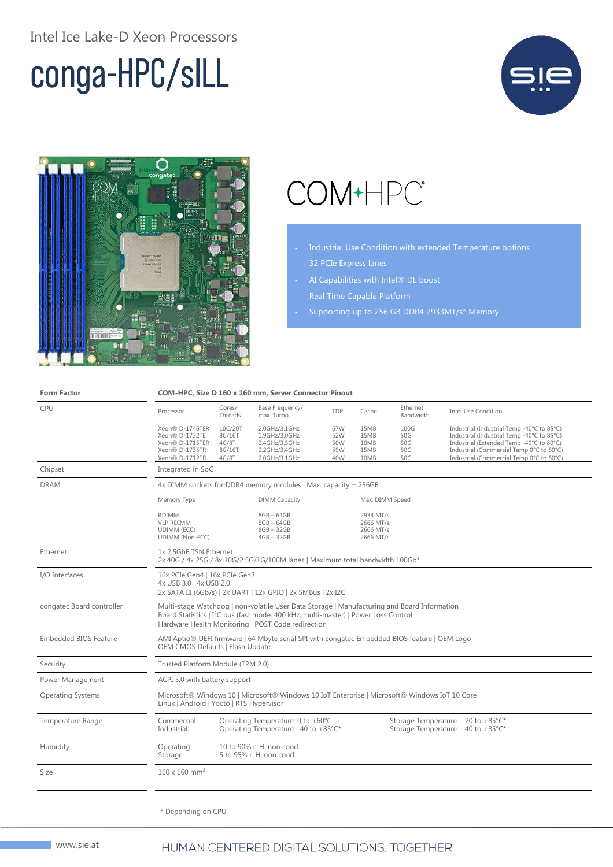#### Intel Ice Lake-D Xeon Processors

# conga-HPC/sILL





## COM+HPC<sup>®</sup>

- Industrial Use Condition with extended Temperature options
- 32 PCIe Express lanes
- AI Capabilities with Intel® DL boost
- 
- Supporting up to 256 GB DDR4 2933MT/s\* Memory

| <b>Form Factor</b>           | COM-HPC, Size D 160 x 160 mm, Server Connector Pinout                                                                                                                                                                                                |                                                                           |                                                                                   |                                                                          |                                                  |                                  |                                                                                                                                                                                                                              |  |
|------------------------------|------------------------------------------------------------------------------------------------------------------------------------------------------------------------------------------------------------------------------------------------------|---------------------------------------------------------------------------|-----------------------------------------------------------------------------------|--------------------------------------------------------------------------|--------------------------------------------------|----------------------------------|------------------------------------------------------------------------------------------------------------------------------------------------------------------------------------------------------------------------------|--|
| CPU                          | Processor                                                                                                                                                                                                                                            | Cores/<br>Threads                                                         | Base Frequency/<br>max. Turbo                                                     | TDP                                                                      | Cache                                            | Ethernet<br>Bandwidth            | <b>Intel Use Condition</b>                                                                                                                                                                                                   |  |
|                              | Xeon® D-1746TER<br>Xeon® D-1732TE<br>Xeon® D-1715TER<br>Xeon® D-1735TR<br>Xeon® D-1712TR                                                                                                                                                             | 10C/20T<br>8C/16T<br>4C/8T<br>8C/16T<br>4C/8T                             | 2.0GHz/3.1GHz<br>1.9GHz/3.0GHz<br>2.4GHz/3.5GHz<br>2.2GHz/3.4GHz<br>2.0GHz/3.1GHz | 67W<br>52W<br>50W<br>59W<br>40W                                          | 15MB<br>15MB<br>10MB<br>15MB<br>10MB             | 100G<br>50G<br>50G<br>50G<br>50G | Industrial (Industrial Temp -40°C to 85°C)<br>Industrial (Industrial Temp -40°C to 85°C)<br>Industrial (Extended Temp -40°C to 80°C)<br>Industrial (Commercial Temp 0°C to 60°C)<br>Industrial (Commercial Temp 0°C to 60°C) |  |
| Chipset                      | Integrated in SoC                                                                                                                                                                                                                                    |                                                                           |                                                                                   |                                                                          |                                                  |                                  |                                                                                                                                                                                                                              |  |
| <b>DRAM</b>                  | 4x DIMM sockets for DDR4 memory modules   Max. capacity = 256GB                                                                                                                                                                                      |                                                                           |                                                                                   |                                                                          |                                                  |                                  |                                                                                                                                                                                                                              |  |
|                              | Memory Type                                                                                                                                                                                                                                          |                                                                           | <b>DIMM Capacity</b>                                                              |                                                                          | Max. DIMM Speed                                  |                                  |                                                                                                                                                                                                                              |  |
|                              | <b>RDIMM</b><br><b>VLP RDIMM</b><br>UDIMM (ECC)<br>UDIMM (Non-ECC)                                                                                                                                                                                   |                                                                           | $8GB - 64GB$<br>$8GB - 64GB$<br>$8GB - 32GB$<br>$4GB - 32GB$                      |                                                                          | 2933 MT/s<br>2666 MT/s<br>2666 MT/s<br>2666 MT/s |                                  |                                                                                                                                                                                                                              |  |
| Ethernet                     | 1x 2.5GbE TSN Ethernet<br>2x 40G / 4x 25G / 8x 10G/2.5G/1G/100M lanes   Maximum total bandwidth 100Gb*                                                                                                                                               |                                                                           |                                                                                   |                                                                          |                                                  |                                  |                                                                                                                                                                                                                              |  |
| I/O Interfaces               | 16x PCIe Gen4   16x PCIe Gen3<br>4x USB 3.0   4x USB 2.0<br>2x SATA III (6Gb/s)   2x UART   12x GPIO   2x SMBus   2x I2C                                                                                                                             |                                                                           |                                                                                   |                                                                          |                                                  |                                  |                                                                                                                                                                                                                              |  |
| congatec Board controller    | Multi-stage Watchdog   non-volatile User Data Storage   Manufacturing and Board Information<br>Board Statistics   I <sup>2</sup> C bus (fast mode, 400 kHz, multi-master)   Power Loss Control<br>Hardware Health Monitoring   POST Code redirection |                                                                           |                                                                                   |                                                                          |                                                  |                                  |                                                                                                                                                                                                                              |  |
| <b>Embedded BIOS Feature</b> | AMI Aptio® UEFI firmware   64 Mbyte serial SPI with congatec Embedded BIOS feature   OEM Logo<br>OEM CMOS Defaults   Flash Update                                                                                                                    |                                                                           |                                                                                   |                                                                          |                                                  |                                  |                                                                                                                                                                                                                              |  |
| Security                     | Trusted Platform Module (TPM 2.0)                                                                                                                                                                                                                    |                                                                           |                                                                                   |                                                                          |                                                  |                                  |                                                                                                                                                                                                                              |  |
| Power Management             | ACPI 5.0 with battery support                                                                                                                                                                                                                        |                                                                           |                                                                                   |                                                                          |                                                  |                                  |                                                                                                                                                                                                                              |  |
| <b>Operating Systems</b>     | Microsoft® Windows 10   Microsoft® Windows 10 IoT Enterprise   Microsoft® Windows IoT 10 Core<br>Linux   Android   Yocto   RTS Hypervisor                                                                                                            |                                                                           |                                                                                   |                                                                          |                                                  |                                  |                                                                                                                                                                                                                              |  |
| Temperature Range            | Commercial:<br>Industrial:                                                                                                                                                                                                                           | Operating Temperature: 0 to +60°C<br>Operating Temperature: -40 to +85°C* |                                                                                   | Storage Temperature: -20 to +85°C*<br>Storage Temperature: -40 to +85°C* |                                                  |                                  |                                                                                                                                                                                                                              |  |
| Humidity                     | Operating:<br>Storage                                                                                                                                                                                                                                |                                                                           | 10 to 90% r. H. non cond.<br>5 to 95% r. H. non cond.                             |                                                                          |                                                  |                                  |                                                                                                                                                                                                                              |  |
| Size                         | $160 \times 160$ mm <sup>2</sup>                                                                                                                                                                                                                     |                                                                           |                                                                                   |                                                                          |                                                  |                                  |                                                                                                                                                                                                                              |  |
|                              |                                                                                                                                                                                                                                                      |                                                                           |                                                                                   |                                                                          |                                                  |                                  |                                                                                                                                                                                                                              |  |
|                              |                                                                                                                                                                                                                                                      |                                                                           |                                                                                   |                                                                          |                                                  |                                  |                                                                                                                                                                                                                              |  |

\* Depending on CPU

#### HUMAN CENTERED DIGITAL SOLUTIONS. TOGETHER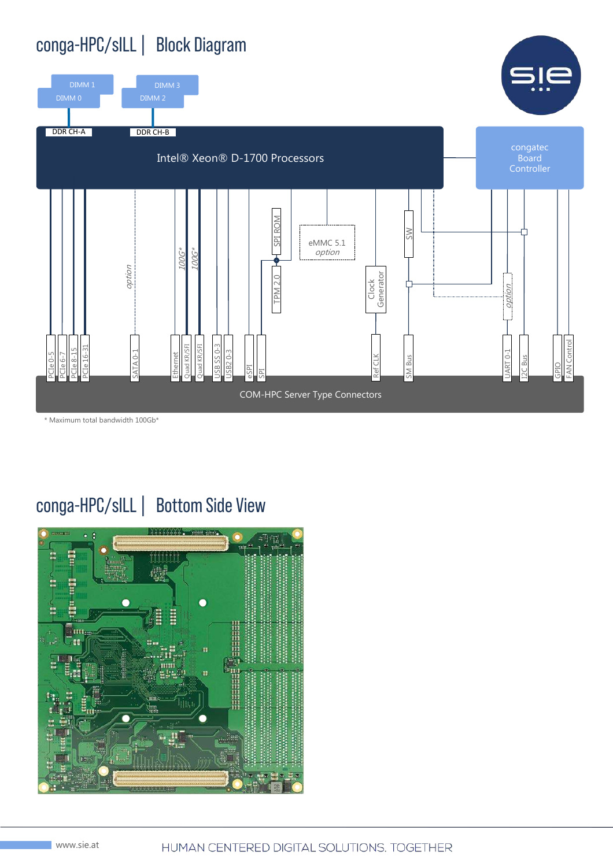### conga-HPC/sILL| Block Diagram



\* Maximum total bandwidth 100Gb\*

### conga-HPC/sILL| Bottom Side View

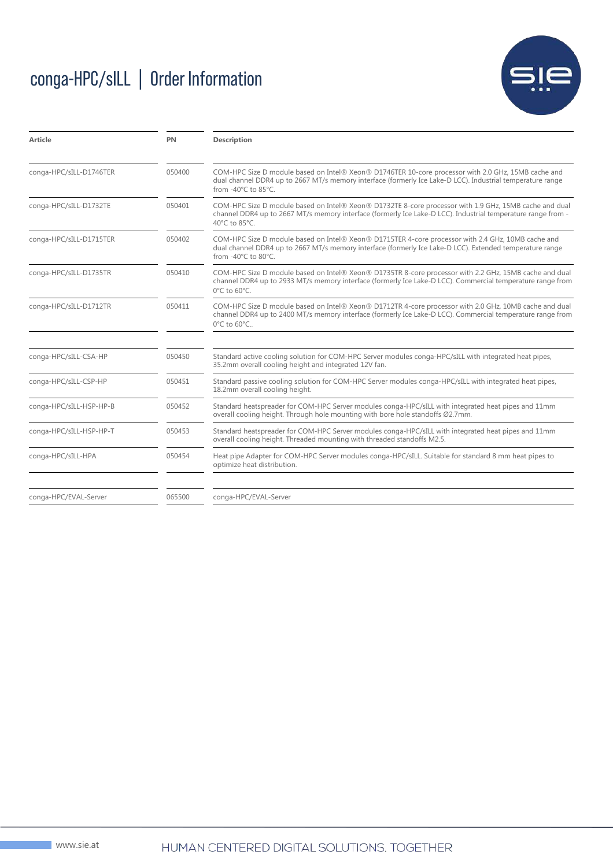## conga-HPC/sILL | Order Information



| Article                 | PN     | <b>Description</b>                                                                                                                                                                                                                       |  |  |  |  |
|-------------------------|--------|------------------------------------------------------------------------------------------------------------------------------------------------------------------------------------------------------------------------------------------|--|--|--|--|
| conga-HPC/sILL-D1746TER | 050400 | COM-HPC Size D module based on Intel® Xeon® D1746TER 10-core processor with 2.0 GHz, 15MB cache and<br>dual channel DDR4 up to 2667 MT/s memory interface (formerly Ice Lake-D LCC). Industrial temperature range<br>from -40°C to 85°C. |  |  |  |  |
| conga-HPC/sILL-D1732TE  | 050401 | COM-HPC Size D module based on Intel® Xeon® D1732TE 8-core processor with 1.9 GHz, 15MB cache and dual<br>channel DDR4 up to 2667 MT/s memory interface (formerly Ice Lake-D LCC). Industrial temperature range from -<br>40°C to 85°C.  |  |  |  |  |
| conga-HPC/sILL-D1715TER | 050402 | COM-HPC Size D module based on Intel® Xeon® D1715TER 4-core processor with 2.4 GHz, 10MB cache and<br>dual channel DDR4 up to 2667 MT/s memory interface (formerly Ice Lake-D LCC). Extended temperature range<br>from -40°C to 80°C.    |  |  |  |  |
| conga-HPC/sILL-D1735TR  | 050410 | COM-HPC Size D module based on Intel® Xeon® D1735TR 8-core processor with 2.2 GHz, 15MB cache and dual<br>channel DDR4 up to 2933 MT/s memory interface (formerly Ice Lake-D LCC). Commercial temperature range from<br>0°C to 60°C.     |  |  |  |  |
| conga-HPC/sILL-D1712TR  | 050411 | COM-HPC Size D module based on Intel® Xeon® D1712TR 4-core processor with 2.0 GHz, 10MB cache and dual<br>channel DDR4 up to 2400 MT/s memory interface (formerly Ice Lake-D LCC). Commercial temperature range from<br>0°C to 60°C      |  |  |  |  |
| conga-HPC/sILL-CSA-HP   | 050450 | Standard active cooling solution for COM-HPC Server modules conga-HPC/sILL with integrated heat pipes,<br>35.2mm overall cooling height and integrated 12V fan.                                                                          |  |  |  |  |
| conga-HPC/sILL-CSP-HP   | 050451 | Standard passive cooling solution for COM-HPC Server modules conga-HPC/sILL with integrated heat pipes,<br>18.2mm overall cooling height.                                                                                                |  |  |  |  |
| conga-HPC/sILL-HSP-HP-B | 050452 | Standard heatspreader for COM-HPC Server modules conga-HPC/sILL with integrated heat pipes and 11mm<br>overall cooling height. Through hole mounting with bore hole standoffs Ø2.7mm.                                                    |  |  |  |  |
| conga-HPC/sILL-HSP-HP-T | 050453 | Standard heatspreader for COM-HPC Server modules conga-HPC/sILL with integrated heat pipes and 11mm<br>overall cooling height. Threaded mounting with threaded standoffs M2.5.                                                           |  |  |  |  |
| conga-HPC/sILL-HPA      | 050454 | Heat pipe Adapter for COM-HPC Server modules conga-HPC/sILL. Suitable for standard 8 mm heat pipes to<br>optimize heat distribution.                                                                                                     |  |  |  |  |
| conga-HPC/EVAL-Server   | 065500 | conga-HPC/EVAL-Server                                                                                                                                                                                                                    |  |  |  |  |